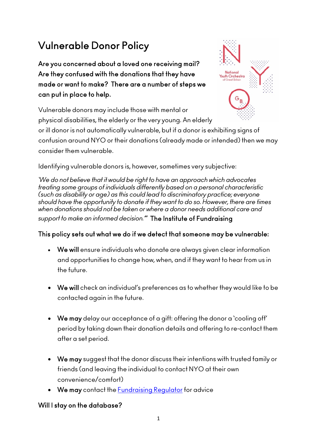# Vulnerable Donor Policy

Are you concerned about a loved one receiving mail? Are they confused with the donations that they have made or want to make? There are a number of steps we can put in place to help.

Vulnerable donors may include those with mental or physical disabilities, the elderly or the very young. An elderly

or ill donor is not automatically vulnerable, but if a donor is exhibiting signs of confusion around NYO or their donations (already made or intended) then we may consider them vulnerable.

Identifying vulnerable donors is, however, sometimes very subjective:

*'We do not believe that it would be right to have an approach which advocates treating some groups of individuals differently based on a personal characteristic (such as disability or age) as this could lead to discriminatory practice; everyone should have the opportunity to donate if they want to do so. However, there are times when donations should not be taken or where a donor needs additional care and support to make an informed decision.'*" The Institute of Fundraising

# This policy sets out what we do if we detect that someone may be vulnerable:

- We will ensure individuals who donate are always given clear information and opportunities to change how, when, and if they want to hear from us in the future.
- We will check an individual's preferences as to whether they would like to be contacted again in the future.
- We may delay our acceptance of a gift: offering the donor a 'cooling off' period by taking down their donation details and offering to re-contact them after a set period.
- We may suggest that the donor discuss their intentions with trusted family or friends (and leaving the individual to contact NYO at their own convenience/comfort)
- We may contact the [Fundraising Regulator](https://www.fundraisingregulator.org.uk/) for advice

# Will I stay on the database?